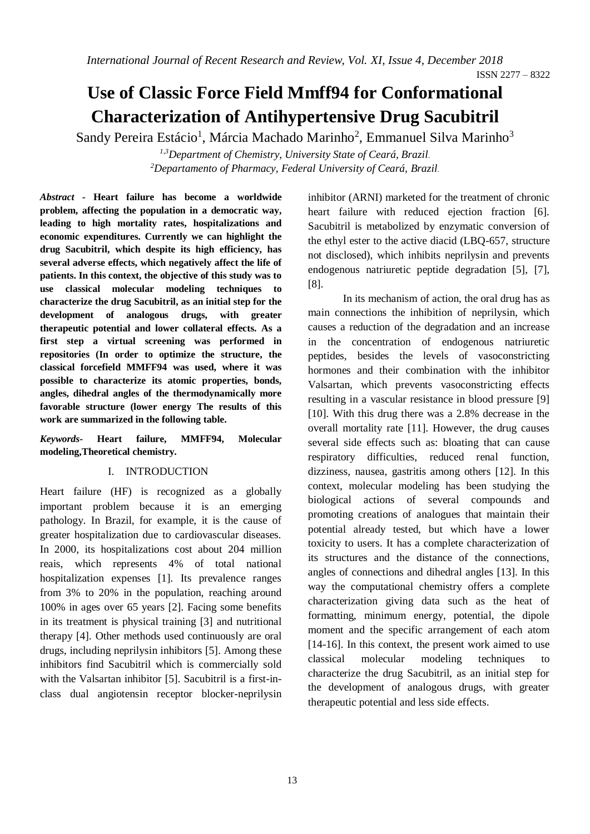# **Use of Classic Force Field Mmff94 for Conformational Characterization of Antihypertensive Drug Sacubitril**

Sandy Pereira Estácio<sup>1</sup>, Márcia Machado Marinho<sup>2</sup>, Emmanuel Silva Marinho<sup>3</sup>

*1,3Department of Chemistry, University State of Ceará, Brazil. <sup>2</sup>Departamento of Pharmacy, Federal University of Ceará, Brazil.*

*Abstract* **- Heart failure has become a worldwide problem, affecting the population in a democratic way, leading to high mortality rates, hospitalizations and economic expenditures. Currently we can highlight the drug Sacubitril, which despite its high efficiency, has several adverse effects, which negatively affect the life of patients. In this context, the objective of this study was to use classical molecular modeling techniques to characterize the drug Sacubitril, as an initial step for the development of analogous drugs, with greater therapeutic potential and lower collateral effects. As a first step a virtual screening was performed in repositories (In order to optimize the structure, the classical forcefield MMFF94 was used, where it was possible to characterize its atomic properties, bonds, angles, dihedral angles of the thermodynamically more favorable structure (lower energy The results of this work are summarized in the following table.**

*Keywords-* **Heart failure, MMFF94, Molecular modeling,Theoretical chemistry.**

## I. INTRODUCTION

Heart failure (HF) is recognized as a globally important problem because it is an emerging pathology. In Brazil, for example, it is the cause of greater hospitalization due to cardiovascular diseases. In 2000, its hospitalizations cost about 204 million reais, which represents 4% of total national hospitalization expenses [1]. Its prevalence ranges from 3% to 20% in the population, reaching around 100% in ages over 65 years [2]. Facing some benefits in its treatment is physical training [3] and nutritional therapy [4]. Other methods used continuously are oral drugs, including neprilysin inhibitors [5]. Among these inhibitors find Sacubitril which is commercially sold with the Valsartan inhibitor [5]. Sacubitril is a first-inclass dual angiotensin receptor blocker-neprilysin

inhibitor (ARNI) marketed for the treatment of chronic heart failure with reduced ejection fraction [6]. Sacubitril is metabolized by enzymatic conversion of the ethyl ester to the active diacid (LBQ-657, structure not disclosed), which inhibits neprilysin and prevents endogenous natriuretic peptide degradation [5], [7], [8].

In its mechanism of action, the oral drug has as main connections the inhibition of neprilysin, which causes a reduction of the degradation and an increase in the concentration of endogenous natriuretic peptides, besides the levels of vasoconstricting hormones and their combination with the inhibitor Valsartan, which prevents vasoconstricting effects resulting in a vascular resistance in blood pressure [9] [10]. With this drug there was a 2.8% decrease in the overall mortality rate [11]. However, the drug causes several side effects such as: bloating that can cause respiratory difficulties, reduced renal function, dizziness, nausea, gastritis among others [12]. In this context, molecular modeling has been studying the biological actions of several compounds and promoting creations of analogues that maintain their potential already tested, but which have a lower toxicity to users. It has a complete characterization of its structures and the distance of the connections, angles of connections and dihedral angles [13]. In this way the computational chemistry offers a complete characterization giving data such as the heat of formatting, minimum energy, potential, the dipole moment and the specific arrangement of each atom [14-16]. In this context, the present work aimed to use classical molecular modeling techniques characterize the drug Sacubitril, as an initial step for the development of analogous drugs, with greater therapeutic potential and less side effects.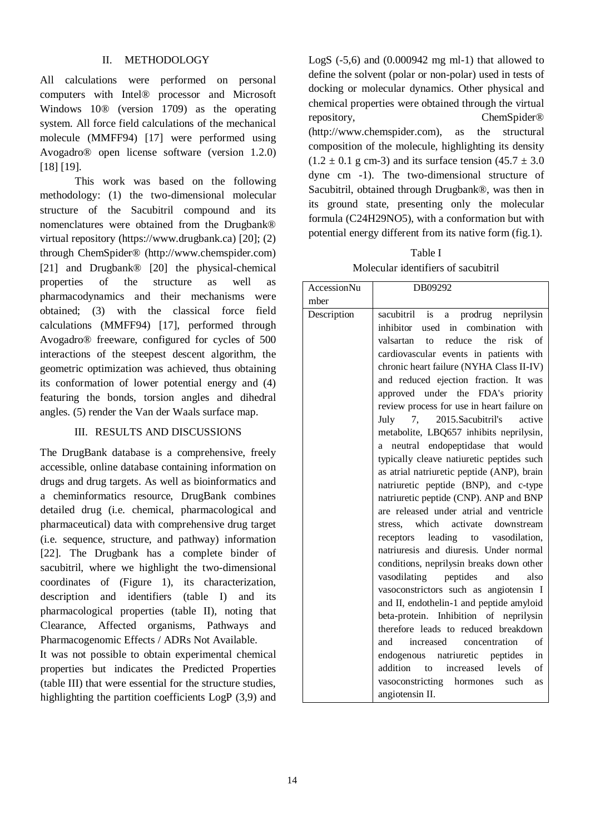All calculations were performed on personal computers with Intel® processor and Microsoft Windows 10® (version 1709) as the operating system. All force field calculations of the mechanical molecule (MMFF94) [17] were performed using Avogadro® open license software (version 1.2.0) [18] [19].

This work was based on the following methodology: (1) the two-dimensional molecular structure of the Sacubitril compound and its nomenclatures were obtained from the Drugbank® virtual repository (https://www.drugbank.ca) [20]; (2) through ChemSpider® (http://www.chemspider.com) [21] and Drugbank® [20] the physical-chemical properties of the structure as well as pharmacodynamics and their mechanisms were obtained; (3) with the classical force field calculations (MMFF94) [17], performed through Avogadro® freeware, configured for cycles of 500 interactions of the steepest descent algorithm, the geometric optimization was achieved, thus obtaining its conformation of lower potential energy and (4) featuring the bonds, torsion angles and dihedral angles. (5) render the Van der Waals surface map.

## III. RESULTS AND DISCUSSIONS

The DrugBank database is a comprehensive, freely accessible, online database containing information on drugs and drug targets. As well as bioinformatics and a cheminformatics resource, DrugBank combines detailed drug (i.e. chemical, pharmacological and pharmaceutical) data with comprehensive drug target (i.e. sequence, structure, and pathway) information [22]. The Drugbank has a complete binder of sacubitril, where we highlight the two-dimensional coordinates of (Figure 1), its characterization, description and identifiers (table I) and its pharmacological properties (table II), noting that Clearance, Affected organisms, Pathways and Pharmacogenomic Effects / ADRs Not Available.

It was not possible to obtain experimental chemical properties but indicates the Predicted Properties (table III) that were essential for the structure studies, highlighting the partition coefficients LogP (3,9) and

LogS  $(-5,6)$  and  $(0.000942 \text{ mg ml-1})$  that allowed to define the solvent (polar or non-polar) used in tests of docking or molecular dynamics. Other physical and chemical properties were obtained through the virtual repository, ChemSpider® (http://www.chemspider.com), as the structural composition of the molecule, highlighting its density  $(1.2 \pm 0.1 \text{ g cm-3})$  and its surface tension  $(45.7 \pm 3.0 \text{ g cm}^2)$ dyne cm -1). The two-dimensional structure of Sacubitril, obtained through Drugbank®, was then in its ground state, presenting only the molecular formula (C24H29NO5), with a conformation but with potential energy different from its native form (fig.1).

Table I Molecular identifiers of sacubitril

| AccessionNu | DB09292                                                                                                                                                                                                                                                                                                                                                                                                                                                                                                                                                                                                                                                                                                                                                                                                                                                                                                                                                                                                                                                                                                                                                                                                                                                                                                    |  |  |  |
|-------------|------------------------------------------------------------------------------------------------------------------------------------------------------------------------------------------------------------------------------------------------------------------------------------------------------------------------------------------------------------------------------------------------------------------------------------------------------------------------------------------------------------------------------------------------------------------------------------------------------------------------------------------------------------------------------------------------------------------------------------------------------------------------------------------------------------------------------------------------------------------------------------------------------------------------------------------------------------------------------------------------------------------------------------------------------------------------------------------------------------------------------------------------------------------------------------------------------------------------------------------------------------------------------------------------------------|--|--|--|
| mber        |                                                                                                                                                                                                                                                                                                                                                                                                                                                                                                                                                                                                                                                                                                                                                                                                                                                                                                                                                                                                                                                                                                                                                                                                                                                                                                            |  |  |  |
| Description | prodrug neprilysin<br>sacubitril is<br>$\rm{a}$<br>inhibitor<br>combination<br>used in<br>with<br>reduce<br>the<br>risk<br>valsartan<br>of<br>to<br>cardiovascular events in patients with<br>chronic heart failure (NYHA Class II-IV)<br>and reduced ejection fraction. It was<br>approved under the FDA's priority<br>review process for use in heart failure on<br>2015.Sacubitril's<br>7,<br>active<br>July<br>metabolite, LBQ657 inhibits neprilysin,<br>neutral endopeptidase that would<br>a<br>typically cleave natiuretic peptides such<br>as atrial natriuretic peptide (ANP), brain<br>natriuretic peptide (BNP), and c-type<br>natriuretic peptide (CNP). ANP and BNP<br>are released under atrial and ventricle<br>which<br>activate<br>downstream<br>stress,<br>leading to vasodilation,<br>receptors<br>natriuresis and diuresis. Under normal<br>conditions, neprilysin breaks down other<br>peptides<br>vasodilating<br>also<br>and<br>vasoconstrictors such as angiotensin I<br>and II, endothelin-1 and peptide amyloid<br>beta-protein. Inhibition of neprilysin<br>therefore leads to reduced breakdown<br>and<br>of<br>increased concentration<br>endogenous natriuretic peptides<br>in<br>addition<br>levels<br>increased<br>of<br>to<br>vasoconstricting<br>hormones<br>such<br>as |  |  |  |
|             | angiotensin II.                                                                                                                                                                                                                                                                                                                                                                                                                                                                                                                                                                                                                                                                                                                                                                                                                                                                                                                                                                                                                                                                                                                                                                                                                                                                                            |  |  |  |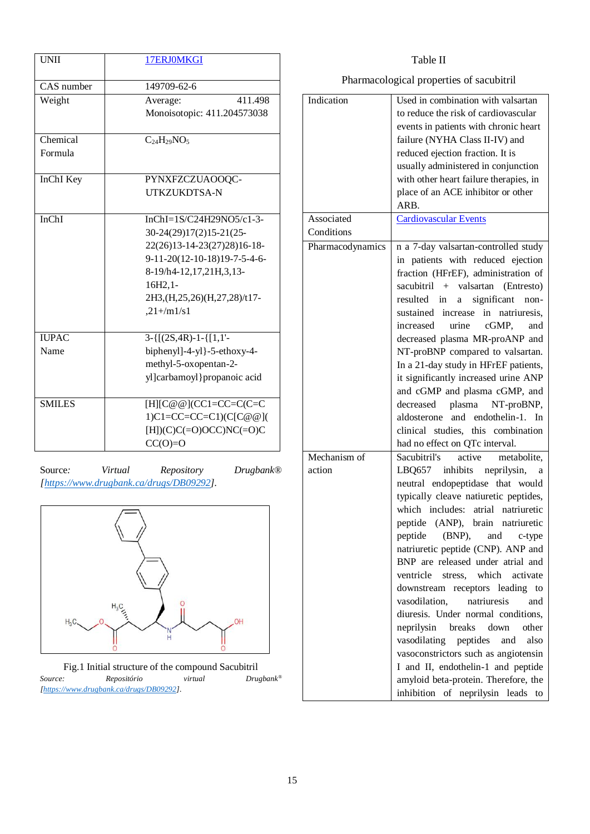| <b>UNII</b>   | 17ERJ0MKGI                           |
|---------------|--------------------------------------|
|               |                                      |
| CAS number    | 149709-62-6                          |
| Weight        | 411.498<br>Average:                  |
|               | Monoisotopic: 411.204573038          |
|               |                                      |
| Chemical      | $C_{24}H_{29}NO_5$                   |
| Formula       |                                      |
|               |                                      |
| InChI Key     | PYNXFZCZUAOOQC-                      |
|               | UTKZUKDTSA-N                         |
| InChI         | InChI= $1S/C24H29NO5/c1-3-$          |
|               | 30-24(29)17(2)15-21(25-              |
|               | 22(26)13-14-23(27)28)16-18-          |
|               | 9-11-20(12-10-18)19-7-5-4-6-         |
|               | 8-19/h4-12,17,21H,3,13-              |
|               |                                      |
|               | $16H2,1-$                            |
|               | 2H3, (H, 25, 26) (H, 27, 28) /t17-   |
|               | $, 21 + /m1/s1$                      |
| <b>IUPAC</b>  | $3 - \{ [(2S, 4R) - 1 - \{ [1, 1' -$ |
| Name          | biphenyl]-4-yl}-5-ethoxy-4-          |
|               | methyl-5-oxopentan-2-                |
|               | yl]carbamoyl}propanoic acid          |
|               |                                      |
| <b>SMILES</b> | $[H][C@@](CC1=CC=C\\CC=C$            |
|               | 1) $C1 = CC = CC = C1$ ) $(C[C@@]$   |
|               | $[H])(C)C(=O)OCC)NC(=O)C$            |
|               | $CC(O)=0$                            |
|               |                                      |

Source*: Virtual Repository Drugbank®* 



*[https://www.drugbank.ca/drugs/DB09292].*

Fig.1 Initial structure of the compound Sacubitril *Source: Repositório virtual Drugbank® [\[https://www.drugbank.ca/drugs/DB09292\]](https://www.drugbank.ca/drugs/DB09292).*

### Table II Pharmacological properties of sacubitril Indication Used in combination with valsartan to reduce the risk of cardiovascular events in patients with chronic heart failure (NYHA Class II-IV) and reduced ejection fraction. It is usually administered in conjunction with other heart failure therapies, in place of an ACE inhibitor or other ARB. Associated **Conditions** [Cardiovascular Events](https://www.drugbank.ca/indications/DBCOND0048671) Pharmacodynamics n a 7-day valsartan-controlled study in patients with reduced ejection fraction (HFrEF), administration of sacubitril + valsartan (Entresto) resulted in a significant nonsustained increase in natriuresis, increased urine cGMP, and decreased plasma MR-proANP and NT-proBNP compared to valsartan. In a 21-day study in HFrEF patients, it significantly increased urine ANP and cGMP and plasma cGMP, and decreased plasma NT-proBNP, aldosterone and endothelin-1. In clinical studies, this combination had no effect on QTc interval. Mechanism of action Sacubitril's active metabolite, LBQ657 inhibits neprilysin, a neutral endopeptidase that would typically cleave natiuretic peptides, which includes: atrial natriuretic peptide (ANP), brain natriuretic peptide (BNP), and c-type natriuretic peptide (CNP). ANP and BNP are released under atrial and ventricle stress, which activate

downstream receptors leading to vasodilation, natriuresis and diuresis. Under normal conditions, neprilysin breaks down other vasodilating peptides and also vasoconstrictors such as angiotensin I and II, endothelin-1 and peptide amyloid beta-protein. Therefore, the inhibition of neprilysin leads to

15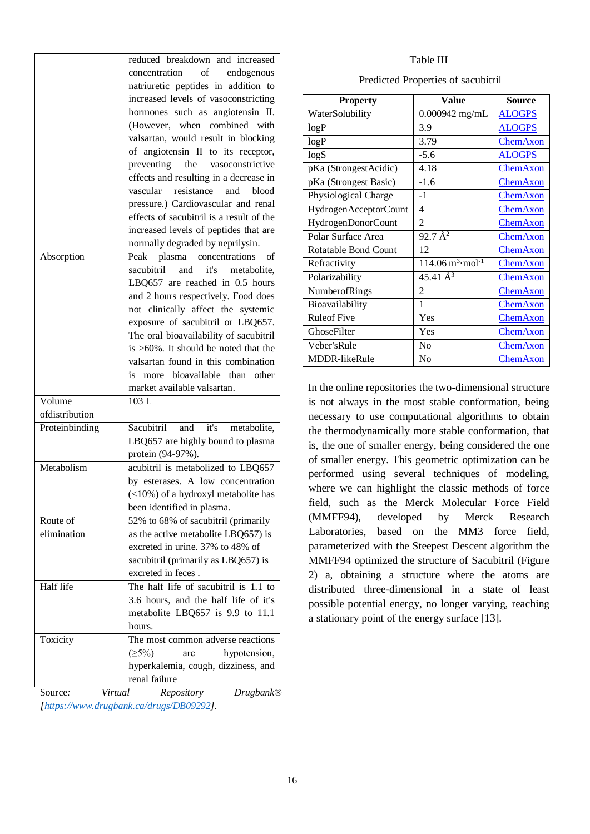|                          | reduced breakdown and increased                                     |  |  |  |  |
|--------------------------|---------------------------------------------------------------------|--|--|--|--|
|                          | concentration<br>of<br>endogenous                                   |  |  |  |  |
|                          | natriuretic peptides in addition to                                 |  |  |  |  |
|                          | increased levels of vasoconstricting                                |  |  |  |  |
|                          | hormones such as angiotensin II.                                    |  |  |  |  |
|                          | (However, when combined with                                        |  |  |  |  |
|                          | valsartan, would result in blocking                                 |  |  |  |  |
|                          | of angiotensin II to its receptor,                                  |  |  |  |  |
|                          | preventing the vasoconstrictive                                     |  |  |  |  |
|                          | effects and resulting in a decrease in                              |  |  |  |  |
|                          | resistance<br>vascular<br>and<br>blood                              |  |  |  |  |
|                          | pressure.) Cardiovascular and renal                                 |  |  |  |  |
|                          | effects of sacubitril is a result of the                            |  |  |  |  |
|                          | increased levels of peptides that are                               |  |  |  |  |
|                          | normally degraded by neprilysin.                                    |  |  |  |  |
| Absorption               | concentrations<br>Peak<br>plasma<br>of                              |  |  |  |  |
|                          | sacubitril<br>and<br>it's<br>metabolite,                            |  |  |  |  |
|                          | LBQ657 are reached in 0.5 hours                                     |  |  |  |  |
|                          | and 2 hours respectively. Food does                                 |  |  |  |  |
|                          | not clinically affect the systemic                                  |  |  |  |  |
|                          | exposure of sacubitril or LBQ657.                                   |  |  |  |  |
|                          | The oral bioavailability of sacubitril                              |  |  |  |  |
|                          | is >60%. It should be noted that the                                |  |  |  |  |
|                          | valsartan found in this combination                                 |  |  |  |  |
|                          | bioavailable than other                                             |  |  |  |  |
|                          | is<br>more                                                          |  |  |  |  |
|                          | market available valsartan.                                         |  |  |  |  |
| Volume<br>ofdistribution | 103L                                                                |  |  |  |  |
|                          | Sacubitril and                                                      |  |  |  |  |
| Proteinbinding           | it's metabolite,                                                    |  |  |  |  |
|                          | LBQ657 are highly bound to plasma                                   |  |  |  |  |
| Metabolism               | protein (94-97%).                                                   |  |  |  |  |
|                          | acubitril is metabolized to LBQ657                                  |  |  |  |  |
|                          | by esterases. A low concentration                                   |  |  |  |  |
|                          | (<10%) of a hydroxyl metabolite has                                 |  |  |  |  |
|                          | been identified in plasma.                                          |  |  |  |  |
| Route of                 | 52% to 68% of sacubitril (primarily                                 |  |  |  |  |
| elimination              | as the active metabolite LBQ657) is                                 |  |  |  |  |
|                          | excreted in urine. 37% to 48% of                                    |  |  |  |  |
|                          | sacubitril (primarily as LBQ657) is                                 |  |  |  |  |
|                          | excreted in feces.                                                  |  |  |  |  |
| Half life                | The half life of sacubitril is 1.1 to                               |  |  |  |  |
|                          | 3.6 hours, and the half life of it's                                |  |  |  |  |
|                          | metabolite LBQ657 is 9.9 to 11.1                                    |  |  |  |  |
|                          | hours.                                                              |  |  |  |  |
| Toxicity                 | The most common adverse reactions                                   |  |  |  |  |
|                          | (25%)<br>hypotension,<br>are                                        |  |  |  |  |
|                          | hyperkalemia, cough, dizziness, and                                 |  |  |  |  |
|                          | renal failure                                                       |  |  |  |  |
| Virtual<br>Source:       |                                                                     |  |  |  |  |
|                          | Repository<br>Drugbank®<br>[https://www.drugbank.ca/drugs/DB09292]. |  |  |  |  |

#### Table III

| Predicted Properties of sacubitril |  |  |  |
|------------------------------------|--|--|--|
|------------------------------------|--|--|--|

| <b>Property</b>       | Value                                      | Source          |  |
|-----------------------|--------------------------------------------|-----------------|--|
| WaterSolubility       | $0.000942$ mg/mL                           | <b>ALOGPS</b>   |  |
| logP                  | 3.9                                        | <b>ALOGPS</b>   |  |
| logP                  | 3.79                                       | ChemAxon        |  |
| logS                  | $-5.6$                                     | <b>ALOGPS</b>   |  |
| pKa (StrongestAcidic) | 4.18                                       | ChemAxon        |  |
| pKa (Strongest Basic) | $-1.6$                                     | <b>ChemAxon</b> |  |
| Physiological Charge  | $-1$                                       | ChemAxon        |  |
| HydrogenAcceptorCount | 4                                          | <b>ChemAxon</b> |  |
| HydrogenDonorCount    | 2                                          | ChemAxon        |  |
| Polar Surface Area    | $92.7 \,\AA^2$                             | <b>ChemAxon</b> |  |
| Rotatable Bond Count  | 12                                         | <b>ChemAxon</b> |  |
| Refractivity          | $114.06 \text{ m}^3 \cdot \text{mol}^{-1}$ | ChemAxon        |  |
| Polarizability        | 45.41 $\AA^3$                              | <b>ChemAxon</b> |  |
| <b>NumberofRings</b>  | $\mathfrak{D}$                             | <b>ChemAxon</b> |  |
| Bioavailability       | 1                                          | <b>ChemAxon</b> |  |
| <b>Ruleof Five</b>    | Yes                                        | <b>ChemAxon</b> |  |
| GhoseFilter           | Yes                                        | <b>ChemAxon</b> |  |
| Veber'sRule           | N <sub>0</sub>                             | <b>ChemAxon</b> |  |
| <b>MDDR-likeRule</b>  | N <sub>0</sub>                             | ChemAxon        |  |

In the online repositories the two-dimensional structure is not always in the most stable conformation, being necessary to use computational algorithms to obtain the thermodynamically more stable conformation, that is, the one of smaller energy, being considered the one of smaller energy. This geometric optimization can be performed using several techniques of modeling, where we can highlight the classic methods of force field, such as the Merck Molecular Force Field (MMFF94), developed by Merck Research Laboratories, based on the MM3 force field, parameterized with the Steepest Descent algorithm the MMFF94 optimized the structure of Sacubitril (Figure 2) a, obtaining a structure where the atoms are distributed three-dimensional in a state of least possible potential energy, no longer varying, reaching a stationary point of the energy surface [13].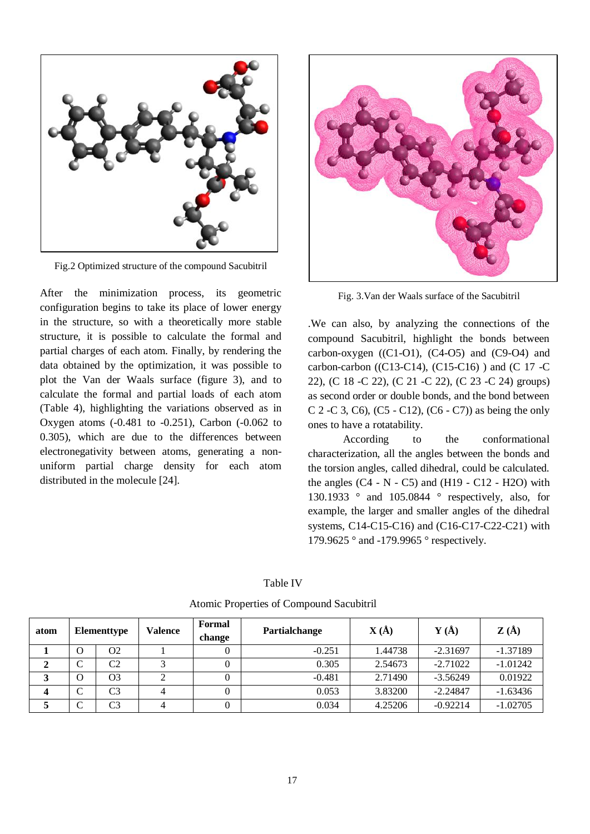

Fig.2 Optimized structure of the compound Sacubitril

After the minimization process, its geometric configuration begins to take its place of lower energy in the structure, so with a theoretically more stable structure, it is possible to calculate the formal and partial charges of each atom. Finally, by rendering the data obtained by the optimization, it was possible to plot the Van der Waals surface (figure 3), and to calculate the formal and partial loads of each atom (Table 4), highlighting the variations observed as in Oxygen atoms (-0.481 to -0.251), Carbon (-0.062 to 0.305), which are due to the differences between electronegativity between atoms, generating a nonuniform partial charge density for each atom distributed in the molecule [24].



Fig. 3.Van der Waals surface of the Sacubitril

.We can also, by analyzing the connections of the compound Sacubitril, highlight the bonds between carbon-oxygen  $((C1-O1), (C4-O5))$  and  $(C9-O4)$  and carbon-carbon ((C13-C14), (C15-C16) ) and (C 17 -C 22), (C 18 -C 22), (C 21 -C 22), (C 23 -C 24) groups) as second order or double bonds, and the bond between C 2 -C 3, C6), (C5 - C12), (C6 - C7)) as being the only ones to have a rotatability.

According to the conformational characterization, all the angles between the bonds and the torsion angles, called dihedral, could be calculated. the angles  $(C4 - N - C5)$  and  $(H19 - C12 - H2O)$  with 130.1933 ° and 105.0844 ° respectively, also, for example, the larger and smaller angles of the dihedral systems, C14-C15-C16) and (C16-C17-C22-C21) with 179.9625 ° and -179.9965 ° respectively.

| M.<br>۰.<br>×<br>×<br>۰.<br>$\sim$ |  |
|------------------------------------|--|
|------------------------------------|--|

atom **Elementtype Valence** Formal **change Partialchange**  $\mathbf{X}(\mathbf{A})$   $\mathbf{Y}(\mathbf{A})$   $\mathbf{Z}(\mathbf{A})$ **1** | O | O2 | 1 | 0 | -0.251 | 1.44738 | -2.31697 | -1.37189 **2** C C2 3 0.305 2.54673 -2.71022 -1.01242 **3** | O | O3 | 2 | 0 | -0.481 | 2.71490 | -3.56249 | 0.01922 **4** C C3 4 0.053 3.83200 -2.24847 -1.63436 **5** C C3 4 0 0 0.034 4.25206 -0.92214 -1.02705

Atomic Properties of Compound Sacubitril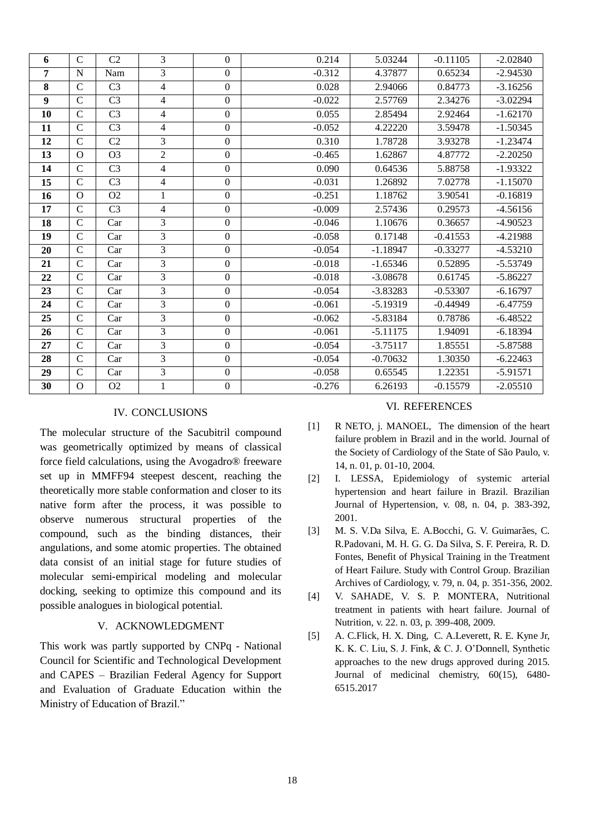| 6              | $\mathbf C$    | C <sub>2</sub> | $\overline{3}$ | $\mathbf{0}$     | 0.214    | 5.03244    | $-0.11105$ | $-2.02840$ |
|----------------|----------------|----------------|----------------|------------------|----------|------------|------------|------------|
| $\overline{7}$ | N              | Nam            | 3              | $\mathbf{0}$     | $-0.312$ | 4.37877    | 0.65234    | $-2.94530$ |
| 8              | $\mathbf C$    | C <sub>3</sub> | $\overline{4}$ | $\mathbf{0}$     | 0.028    | 2.94066    | 0.84773    | $-3.16256$ |
| 9              | $\mathbf C$    | C <sub>3</sub> | $\overline{4}$ | $\mathbf{0}$     | $-0.022$ | 2.57769    | 2.34276    | $-3.02294$ |
| 10             | $\mathbf C$    | C <sub>3</sub> | $\overline{4}$ | $\boldsymbol{0}$ | 0.055    | 2.85494    | 2.92464    | $-1.62170$ |
| 11             | $\mathbf C$    | C <sub>3</sub> | 4              | $\boldsymbol{0}$ | $-0.052$ | 4.22220    | 3.59478    | $-1.50345$ |
| 12             | $\mathbf C$    | C <sub>2</sub> | 3              | $\overline{0}$   | 0.310    | 1.78728    | 3.93278    | $-1.23474$ |
| 13             | $\overline{O}$ | O <sub>3</sub> | $\overline{2}$ | $\overline{0}$   | $-0.465$ | 1.62867    | 4.87772    | $-2.20250$ |
| 14             | $\mathbf C$    | C <sub>3</sub> | 4              | $\overline{0}$   | 0.090    | 0.64536    | 5.88758    | $-1.93322$ |
| 15             | $\mathbf C$    | C <sub>3</sub> | $\overline{4}$ | $\overline{0}$   | $-0.031$ | 1.26892    | 7.02778    | $-1.15070$ |
| 16             | $\Omega$       | O <sub>2</sub> | 1              | $\Omega$         | $-0.251$ | 1.18762    | 3.90541    | $-0.16819$ |
| 17             | $\mathbf C$    | C <sub>3</sub> | $\overline{4}$ | $\overline{0}$   | $-0.009$ | 2.57436    | 0.29573    | $-4.56156$ |
| 18             | $\mathbf C$    | Car            | 3              | $\overline{0}$   | $-0.046$ | 1.10676    | 0.36657    | $-4.90523$ |
| 19             | $\mathbf C$    | Car            | $\overline{3}$ | $\overline{0}$   | $-0.058$ | 0.17148    | $-0.41553$ | $-4.21988$ |
| 20             | $\mathcal{C}$  | Car            | 3              | $\overline{0}$   | $-0.054$ | $-1.18947$ | $-0.33277$ | $-4.53210$ |
| 21             | $\mathbf C$    | Car            | $\overline{3}$ | $\boldsymbol{0}$ | $-0.018$ | $-1.65346$ | 0.52895    | $-5.53749$ |
| 22             | $\mathbf C$    | Car            | $\overline{3}$ | $\boldsymbol{0}$ | $-0.018$ | $-3.08678$ | 0.61745    | $-5.86227$ |
| 23             | $\mathbf C$    | Car            | 3              | $\overline{0}$   | $-0.054$ | $-3.83283$ | $-0.53307$ | $-6.16797$ |
| 24             | $\mathbf C$    | Car            | 3              | $\overline{0}$   | $-0.061$ | $-5.19319$ | $-0.44949$ | $-6.47759$ |
| 25             | $\mathcal{C}$  | Car            | 3              | $\mathbf{0}$     | $-0.062$ | $-5.83184$ | 0.78786    | $-6.48522$ |
| 26             | $\mathcal{C}$  | Car            | 3              | $\overline{0}$   | $-0.061$ | $-5.11175$ | 1.94091    | $-6.18394$ |
| 27             | $\mathbf C$    | Car            | $\overline{3}$ | $\mathbf{0}$     | $-0.054$ | $-3.75117$ | 1.85551    | $-5.87588$ |
| 28             | $\overline{C}$ | Car            | 3              | $\boldsymbol{0}$ | $-0.054$ | $-0.70632$ | 1.30350    | $-6.22463$ |
| 29             | $\overline{C}$ | Car            | $\overline{3}$ | $\mathbf{0}$     | $-0.058$ | 0.65545    | 1.22351    | $-5.91571$ |
| 30             | $\mathbf{O}$   | O2             | 1              | $\boldsymbol{0}$ | $-0.276$ | 6.26193    | $-0.15579$ | $-2.05510$ |

## IV. CONCLUSIONS

The molecular structure of the Sacubitril compound was geometrically optimized by means of classical force field calculations, using the Avogadro® freeware set up in MMFF94 steepest descent, reaching the theoretically more stable conformation and closer to its native form after the process, it was possible to observe numerous structural properties of the compound, such as the binding distances, their angulations, and some atomic properties. The obtained data consist of an initial stage for future studies of molecular semi-empirical modeling and molecular docking, seeking to optimize this compound and its possible analogues in biological potential.

#### V. ACKNOWLEDGMENT

This work was partly supported by CNPq - National Council for Scientific and Technological Development and CAPES – Brazilian Federal Agency for Support and Evaluation of Graduate Education within the Ministry of Education of Brazil."

#### VI. REFERENCES

- [1] R NETO, j. MANOEL, The dimension of the heart failure problem in Brazil and in the world. Journal of the Society of Cardiology of the State of São Paulo, v. 14, n. 01, p. 01-10, 2004.
- [2] I. LESSA, Epidemiology of systemic arterial hypertension and heart failure in Brazil. Brazilian Journal of Hypertension, v. 08, n. 04, p. 383-392, 2001.
- [3] M. S. V.Da Silva, E. A.Bocchi, G. V. Guimarães, C. R.Padovani, M. H. G. G. Da Silva, S. F. Pereira, R. D. Fontes, Benefit of Physical Training in the Treatment of Heart Failure. Study with Control Group. Brazilian Archives of Cardiology, v. 79, n. 04, p. 351-356, 2002.
- [4] V. SAHADE, V. S. P. MONTERA, Nutritional treatment in patients with heart failure. Journal of Nutrition, v. 22. n. 03, p. 399-408, 2009.
- [5] A. C.Flick, H. X. Ding, C. A.Leverett, R. E. Kyne Jr, K. K. C. Liu, S. J. Fink, & C. J. O'Donnell, Synthetic approaches to the new drugs approved during 2015. Journal of medicinal chemistry, 60(15), 6480- 6515.2017